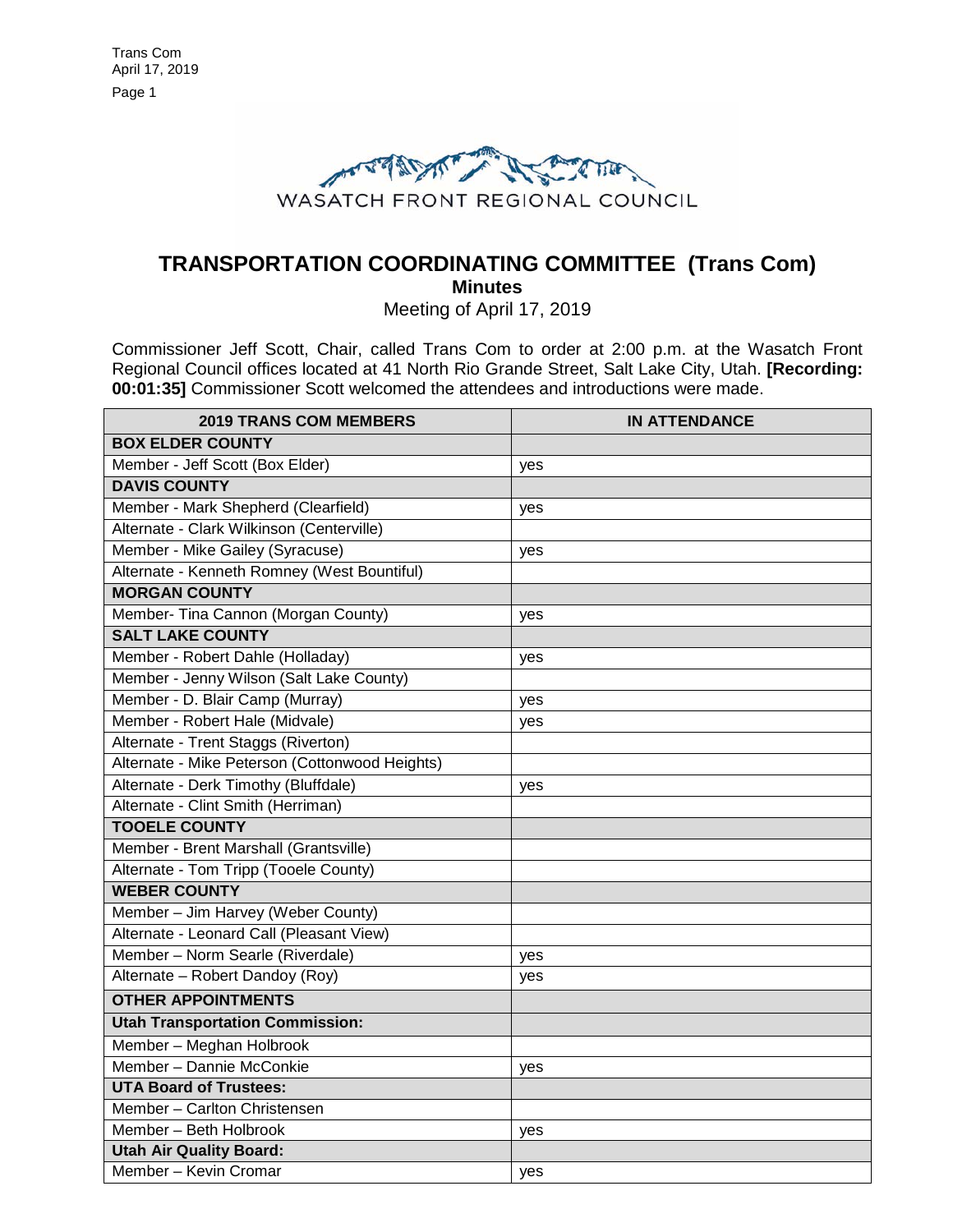

# **TRANSPORTATION COORDINATING COMMITTEE (Trans Com) Minutes**

Meeting of April 17, 2019

Commissioner Jeff Scott, Chair, called Trans Com to order at 2:00 p.m. at the Wasatch Front Regional Council offices located at 41 North Rio Grande Street, Salt Lake City, Utah. **[Recording: 00:01:35]** Commissioner Scott welcomed the attendees and introductions were made.

| <b>2019 TRANS COM MEMBERS</b>                  | <b>IN ATTENDANCE</b> |
|------------------------------------------------|----------------------|
| <b>BOX ELDER COUNTY</b>                        |                      |
| Member - Jeff Scott (Box Elder)                | yes                  |
| <b>DAVIS COUNTY</b>                            |                      |
| Member - Mark Shepherd (Clearfield)            | yes                  |
| Alternate - Clark Wilkinson (Centerville)      |                      |
| Member - Mike Gailey (Syracuse)                | yes                  |
| Alternate - Kenneth Romney (West Bountiful)    |                      |
| <b>MORGAN COUNTY</b>                           |                      |
| Member- Tina Cannon (Morgan County)            | yes                  |
| <b>SALT LAKE COUNTY</b>                        |                      |
| Member - Robert Dahle (Holladay)               | yes                  |
| Member - Jenny Wilson (Salt Lake County)       |                      |
| Member - D. Blair Camp (Murray)                | yes                  |
| Member - Robert Hale (Midvale)                 | yes                  |
| Alternate - Trent Staggs (Riverton)            |                      |
| Alternate - Mike Peterson (Cottonwood Heights) |                      |
| Alternate - Derk Timothy (Bluffdale)           | yes                  |
| Alternate - Clint Smith (Herriman)             |                      |
| <b>TOOELE COUNTY</b>                           |                      |
| Member - Brent Marshall (Grantsville)          |                      |
| Alternate - Tom Tripp (Tooele County)          |                      |
| <b>WEBER COUNTY</b>                            |                      |
| Member - Jim Harvey (Weber County)             |                      |
| Alternate - Leonard Call (Pleasant View)       |                      |
| Member - Norm Searle (Riverdale)               | yes                  |
| Alternate - Robert Dandoy (Roy)                | yes                  |
| <b>OTHER APPOINTMENTS</b>                      |                      |
| <b>Utah Transportation Commission:</b>         |                      |
| Member - Meghan Holbrook                       |                      |
| Member - Dannie McConkie                       | yes                  |
| <b>UTA Board of Trustees:</b>                  |                      |
| Member - Carlton Christensen                   |                      |
| Member - Beth Holbrook                         | yes                  |
| <b>Utah Air Quality Board:</b>                 |                      |
| Member - Kevin Cromar                          | yes                  |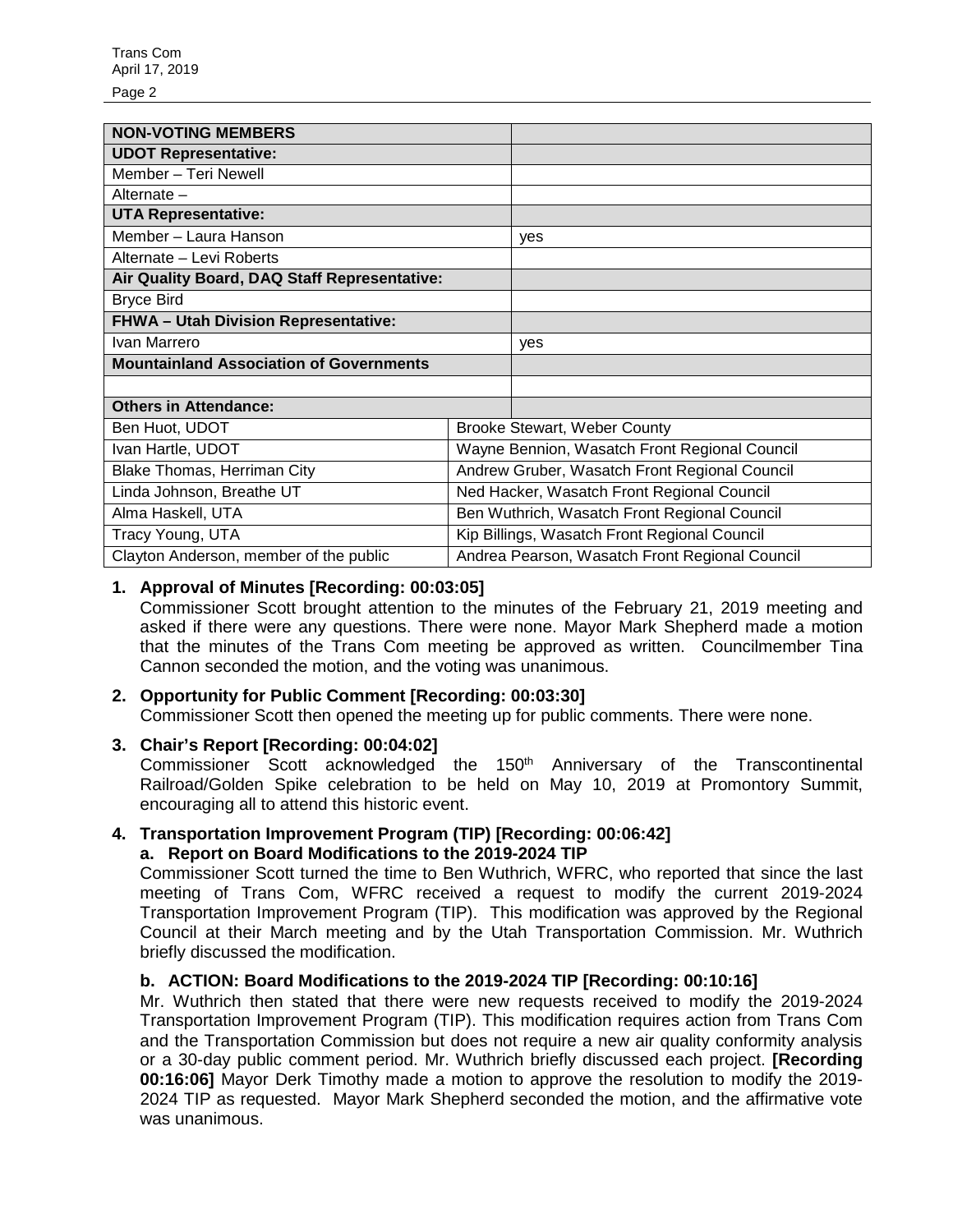Page 2

| <b>NON-VOTING MEMBERS</b>                      |                                                |     |
|------------------------------------------------|------------------------------------------------|-----|
| <b>UDOT Representative:</b>                    |                                                |     |
| Member - Teri Newell                           |                                                |     |
| Alternate -                                    |                                                |     |
| <b>UTA Representative:</b>                     |                                                |     |
| Member - Laura Hanson                          |                                                | yes |
| Alternate - Levi Roberts                       |                                                |     |
| Air Quality Board, DAQ Staff Representative:   |                                                |     |
| <b>Bryce Bird</b>                              |                                                |     |
| <b>FHWA- Utah Division Representative:</b>     |                                                |     |
| Ivan Marrero                                   |                                                | yes |
| <b>Mountainland Association of Governments</b> |                                                |     |
|                                                |                                                |     |
| <b>Others in Attendance:</b>                   |                                                |     |
| Ben Huot, UDOT                                 | <b>Brooke Stewart, Weber County</b>            |     |
| Ivan Hartle, UDOT                              | Wayne Bennion, Wasatch Front Regional Council  |     |
| Blake Thomas, Herriman City                    | Andrew Gruber, Wasatch Front Regional Council  |     |
| Linda Johnson, Breathe UT                      | Ned Hacker, Wasatch Front Regional Council     |     |
| Alma Haskell, UTA                              | Ben Wuthrich, Wasatch Front Regional Council   |     |
| Tracy Young, UTA                               | Kip Billings, Wasatch Front Regional Council   |     |
| Clayton Anderson, member of the public         | Andrea Pearson, Wasatch Front Regional Council |     |

## **1. Approval of Minutes [Recording: 00:03:05]**

Commissioner Scott brought attention to the minutes of the February 21, 2019 meeting and asked if there were any questions. There were none. Mayor Mark Shepherd made a motion that the minutes of the Trans Com meeting be approved as written. Councilmember Tina Cannon seconded the motion, and the voting was unanimous.

# **2. Opportunity for Public Comment [Recording: 00:03:30]**

Commissioner Scott then opened the meeting up for public comments. There were none.

## **3. Chair's Report [Recording: 00:04:02]**

Commissioner Scott acknowledged the 150<sup>th</sup> Anniversary of the Transcontinental Railroad/Golden Spike celebration to be held on May 10, 2019 at Promontory Summit, encouraging all to attend this historic event.

## **4. Transportation Improvement Program (TIP) [Recording: 00:06:42]**

## **a. Report on Board Modifications to the 2019-2024 TIP**

Commissioner Scott turned the time to Ben Wuthrich, WFRC, who reported that since the last meeting of Trans Com, WFRC received a request to modify the current 2019-2024 Transportation Improvement Program (TIP). This modification was approved by the Regional Council at their March meeting and by the Utah Transportation Commission. Mr. Wuthrich briefly discussed the modification.

## **b. ACTION: Board Modifications to the 2019-2024 TIP [Recording: 00:10:16]**

Mr. Wuthrich then stated that there were new requests received to modify the 2019-2024 Transportation Improvement Program (TIP). This modification requires action from Trans Com and the Transportation Commission but does not require a new air quality conformity analysis or a 30-day public comment period. Mr. Wuthrich briefly discussed each project. **[Recording 00:16:06]** Mayor Derk Timothy made a motion to approve the resolution to modify the 2019- 2024 TIP as requested. Mayor Mark Shepherd seconded the motion, and the affirmative vote was unanimous.